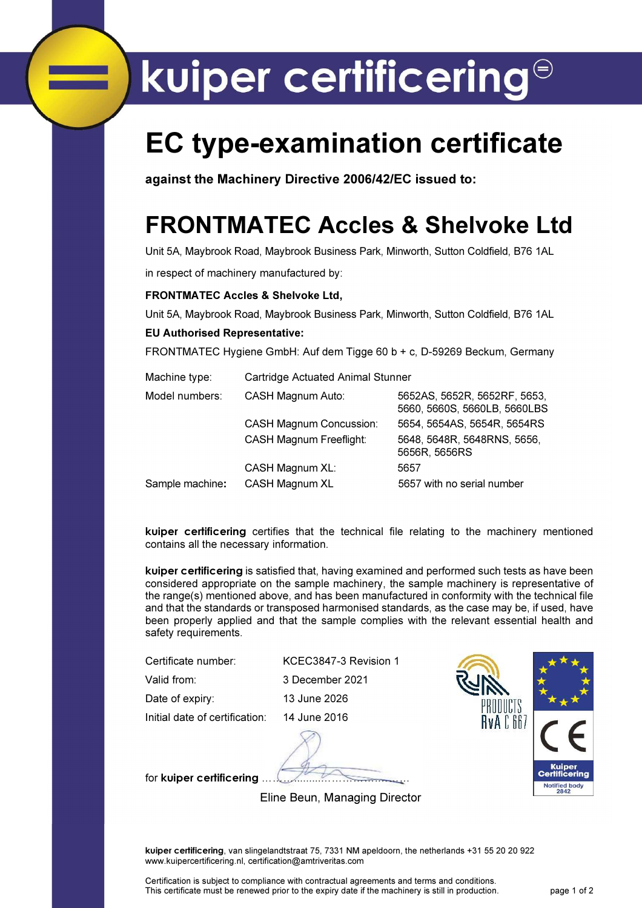# kuiper certificering<sup>®</sup>

### EC type-examination certificate

against the Machinery Directive 2006/42/EC issued to:

### FRONTMATEC Accles & Shelvoke Ltd

Unit 5A, Maybrook Road, Maybrook Business Park, Minworth, Sutton Coldfield, B76 1AL

in respect of machinery manufactured by:

### FRONTMATEC Accles & Shelvoke Ltd,

Unit 5A, Maybrook Road, Maybrook Business Park, Minworth, Sutton Coldfield, B76 1AL EU Authorised Representative:

FRONTMATEC Hygiene GmbH: Auf dem Tigge 60 b + c, D-59269 Beckum, Germany

| Machine type:   | Cartridge Actuated Animal Stunner |                                                              |  |  |  |
|-----------------|-----------------------------------|--------------------------------------------------------------|--|--|--|
| Model numbers:  | CASH Magnum Auto:                 | 5652AS, 5652R, 5652RF, 5653,<br>5660, 5660S, 5660LB, 5660LBS |  |  |  |
|                 | <b>CASH Magnum Concussion:</b>    | 5654, 5654AS, 5654R, 5654RS                                  |  |  |  |
|                 | <b>CASH Magnum Freeflight:</b>    | 5648, 5648R, 5648RNS, 5656,<br>5656R, 5656RS                 |  |  |  |
|                 | CASH Magnum XL:                   | 5657                                                         |  |  |  |
| Sample machine: | CASH Magnum XL                    | 5657 with no serial number                                   |  |  |  |

kuiper certificering certifies that the technical file relating to the machinery mentioned contains all the necessary information.

kuiper certificering is satisfied that, having examined and performed such tests as have been considered appropriate on the sample machinery, the sample machinery is representative of the range(s) mentioned above, and has been manufactured in conformity with the technical file and that the standards or transposed harmonised standards, as the case may be, if used, have been properly applied and that the sample complies with the relevant essential health and safety requirements.

Certificate number: KCEC3847-3 Revision 1

Valid from: 3 December 2021

Date of expiry: 13 June 2026

Initial date of certification: 14 June 2016

for kuiper certificering ……….........…………….………

HUUUGIS IvA C 66

Eline Beun, Managing Director

kuiper certificering, van slingelandtstraat 75, 7331 NM apeldoorn, the netherlands +31 55 20 20 922 www.kuipercertificering.nl, certification@amtriveritas.com

Certification is subject to compliance with contractual agreements and terms and conditions. This certificate must be renewed prior to the expiry date if the machinery is still in production. page 1 of 2